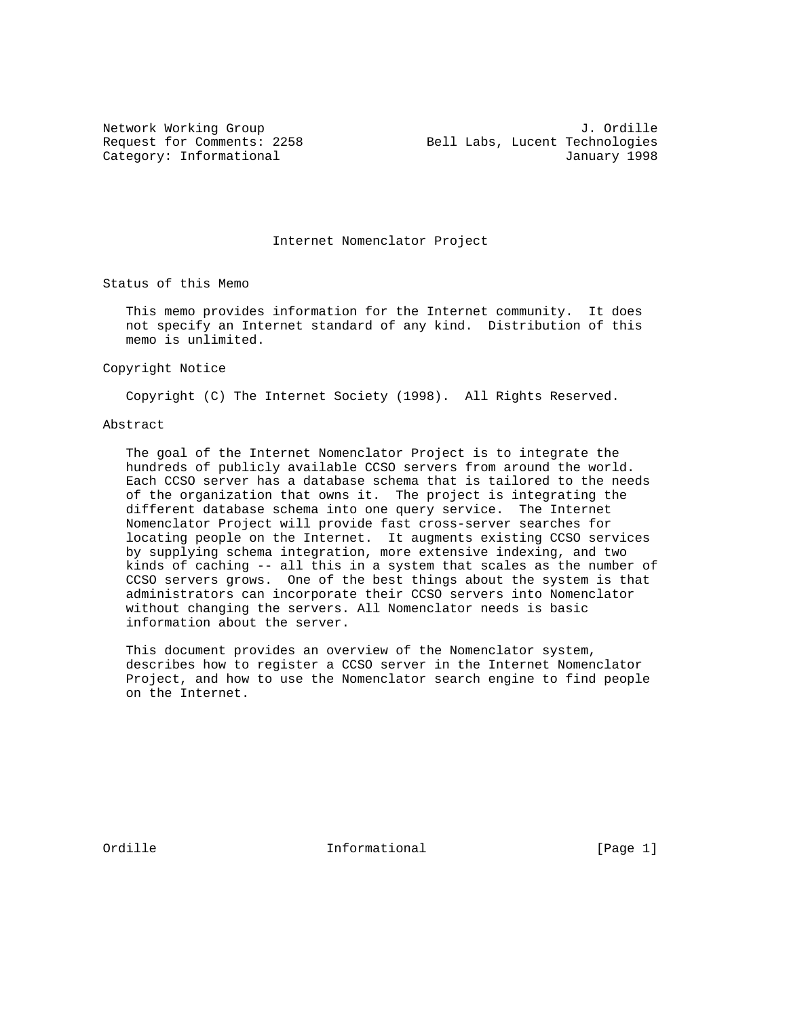Internet Nomenclator Project

Status of this Memo

 This memo provides information for the Internet community. It does not specify an Internet standard of any kind. Distribution of this memo is unlimited.

Copyright Notice

Copyright (C) The Internet Society (1998). All Rights Reserved.

### Abstract

 The goal of the Internet Nomenclator Project is to integrate the hundreds of publicly available CCSO servers from around the world. Each CCSO server has a database schema that is tailored to the needs of the organization that owns it. The project is integrating the different database schema into one query service. The Internet Nomenclator Project will provide fast cross-server searches for locating people on the Internet. It augments existing CCSO services by supplying schema integration, more extensive indexing, and two kinds of caching -- all this in a system that scales as the number of CCSO servers grows. One of the best things about the system is that administrators can incorporate their CCSO servers into Nomenclator without changing the servers. All Nomenclator needs is basic information about the server.

 This document provides an overview of the Nomenclator system, describes how to register a CCSO server in the Internet Nomenclator Project, and how to use the Nomenclator search engine to find people on the Internet.

Ordille **Informational** Informational [Page 1]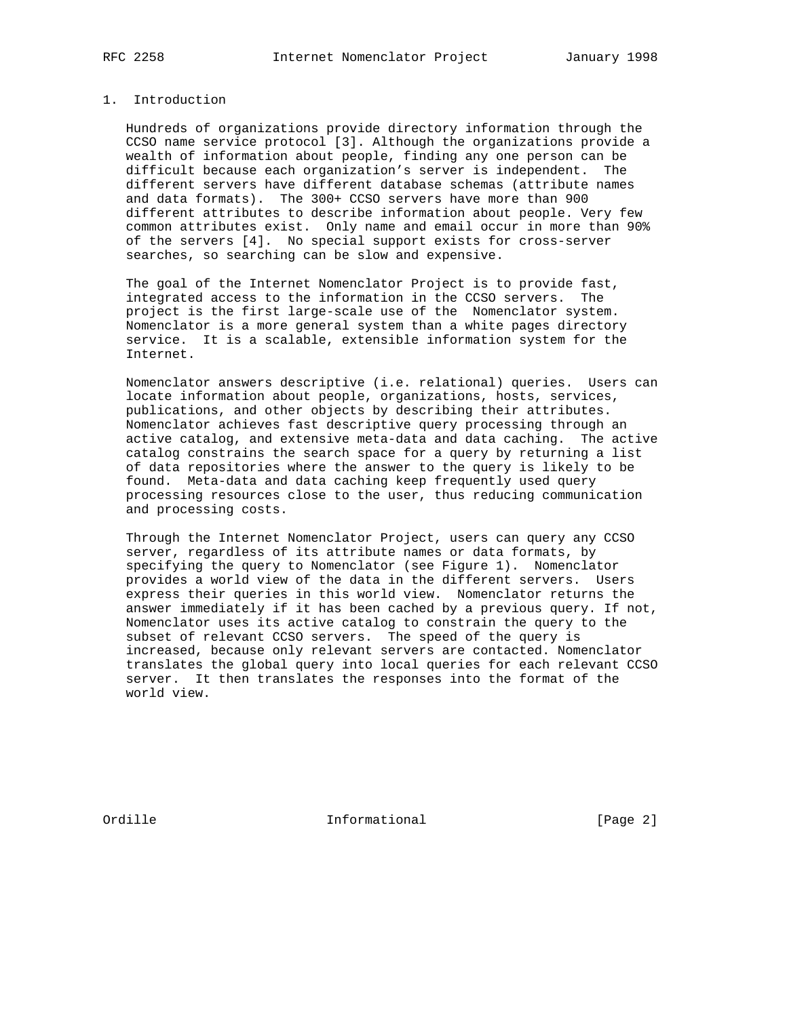## 1. Introduction

 Hundreds of organizations provide directory information through the CCSO name service protocol [3]. Although the organizations provide a wealth of information about people, finding any one person can be difficult because each organization's server is independent. The different servers have different database schemas (attribute names and data formats). The 300+ CCSO servers have more than 900 different attributes to describe information about people. Very few common attributes exist. Only name and email occur in more than 90% of the servers [4]. No special support exists for cross-server searches, so searching can be slow and expensive.

 The goal of the Internet Nomenclator Project is to provide fast, integrated access to the information in the CCSO servers. The project is the first large-scale use of the Nomenclator system. Nomenclator is a more general system than a white pages directory service. It is a scalable, extensible information system for the Internet.

 Nomenclator answers descriptive (i.e. relational) queries. Users can locate information about people, organizations, hosts, services, publications, and other objects by describing their attributes. Nomenclator achieves fast descriptive query processing through an active catalog, and extensive meta-data and data caching. The active catalog constrains the search space for a query by returning a list of data repositories where the answer to the query is likely to be found. Meta-data and data caching keep frequently used query processing resources close to the user, thus reducing communication and processing costs.

 Through the Internet Nomenclator Project, users can query any CCSO server, regardless of its attribute names or data formats, by specifying the query to Nomenclator (see Figure 1). Nomenclator provides a world view of the data in the different servers. Users express their queries in this world view. Nomenclator returns the answer immediately if it has been cached by a previous query. If not, Nomenclator uses its active catalog to constrain the query to the subset of relevant CCSO servers. The speed of the query is increased, because only relevant servers are contacted. Nomenclator translates the global query into local queries for each relevant CCSO server. It then translates the responses into the format of the world view.

Ordille **Informational** Informational [Page 2]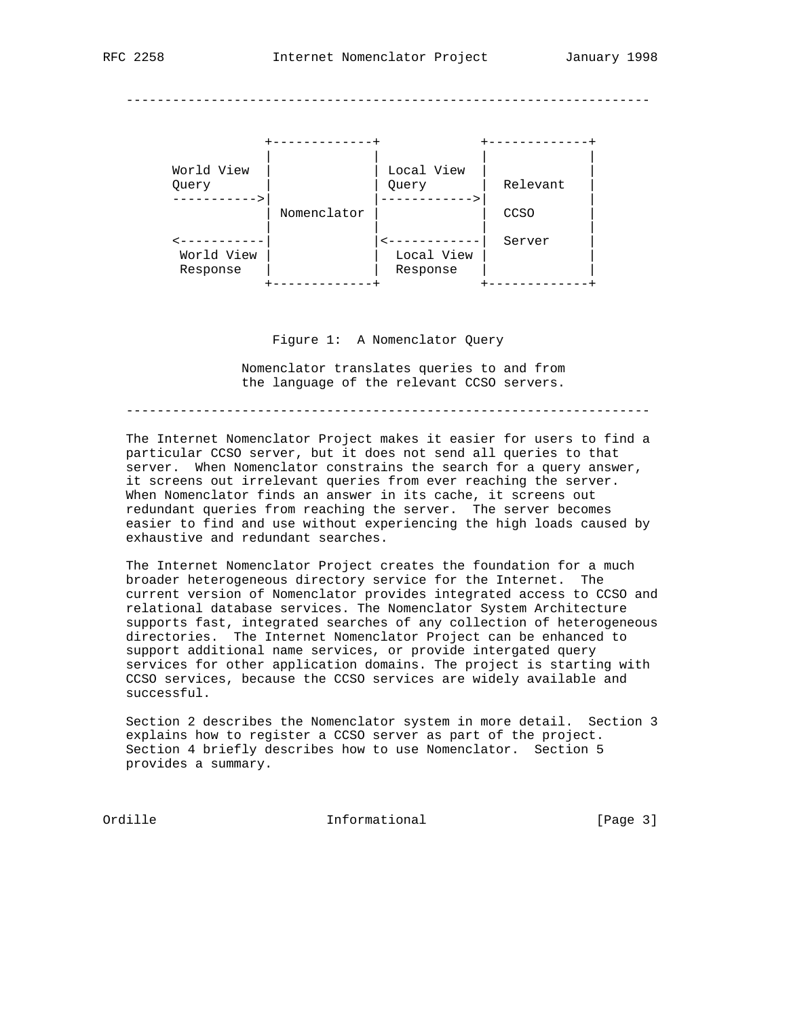--------------------------------------------------------------------



Figure 1: A Nomenclator Query

 Nomenclator translates queries to and from the language of the relevant CCSO servers.

--------------------------------------------------------------------

 The Internet Nomenclator Project makes it easier for users to find a particular CCSO server, but it does not send all queries to that server. When Nomenclator constrains the search for a query answer, it screens out irrelevant queries from ever reaching the server. When Nomenclator finds an answer in its cache, it screens out redundant queries from reaching the server. The server becomes easier to find and use without experiencing the high loads caused by exhaustive and redundant searches.

 The Internet Nomenclator Project creates the foundation for a much broader heterogeneous directory service for the Internet. The current version of Nomenclator provides integrated access to CCSO and relational database services. The Nomenclator System Architecture supports fast, integrated searches of any collection of heterogeneous directories. The Internet Nomenclator Project can be enhanced to support additional name services, or provide intergated query services for other application domains. The project is starting with CCSO services, because the CCSO services are widely available and successful.

 Section 2 describes the Nomenclator system in more detail. Section 3 explains how to register a CCSO server as part of the project. Section 4 briefly describes how to use Nomenclator. Section 5 provides a summary.

Ordille **Informational** Informational [Page 3]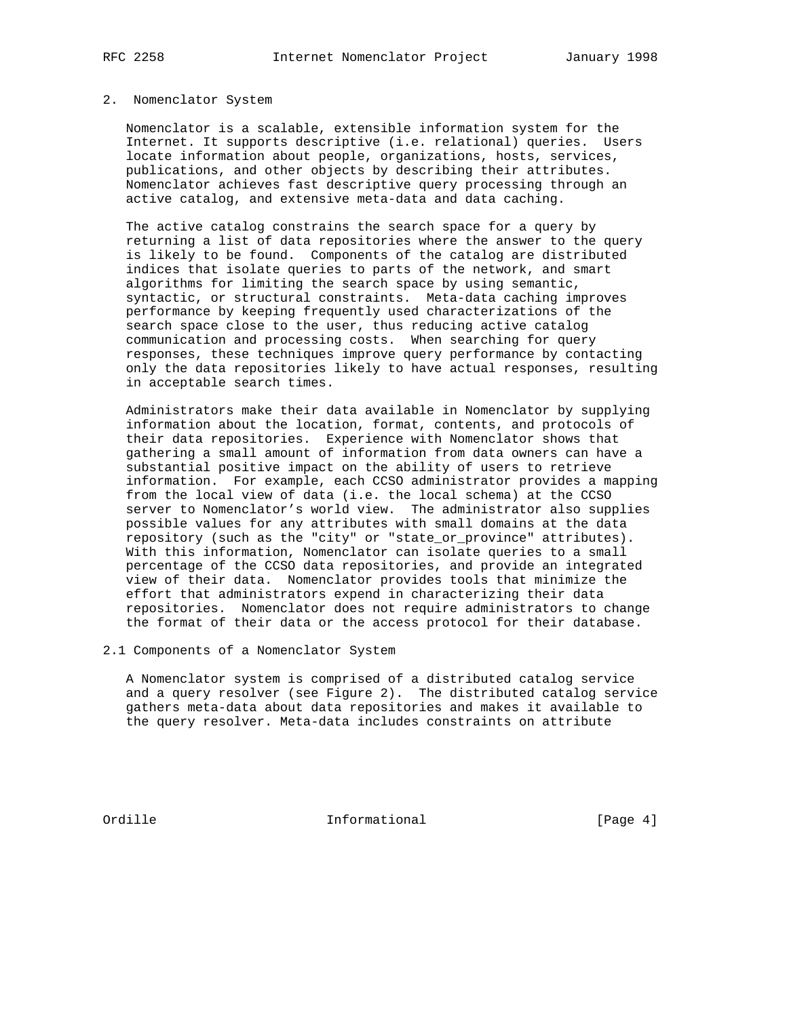### 2. Nomenclator System

 Nomenclator is a scalable, extensible information system for the Internet. It supports descriptive (i.e. relational) queries. Users locate information about people, organizations, hosts, services, publications, and other objects by describing their attributes. Nomenclator achieves fast descriptive query processing through an active catalog, and extensive meta-data and data caching.

 The active catalog constrains the search space for a query by returning a list of data repositories where the answer to the query is likely to be found. Components of the catalog are distributed indices that isolate queries to parts of the network, and smart algorithms for limiting the search space by using semantic, syntactic, or structural constraints. Meta-data caching improves performance by keeping frequently used characterizations of the search space close to the user, thus reducing active catalog communication and processing costs. When searching for query responses, these techniques improve query performance by contacting only the data repositories likely to have actual responses, resulting in acceptable search times.

 Administrators make their data available in Nomenclator by supplying information about the location, format, contents, and protocols of their data repositories. Experience with Nomenclator shows that gathering a small amount of information from data owners can have a substantial positive impact on the ability of users to retrieve information. For example, each CCSO administrator provides a mapping from the local view of data (i.e. the local schema) at the CCSO server to Nomenclator's world view. The administrator also supplies possible values for any attributes with small domains at the data repository (such as the "city" or "state\_or\_province" attributes). With this information, Nomenclator can isolate queries to a small percentage of the CCSO data repositories, and provide an integrated view of their data. Nomenclator provides tools that minimize the effort that administrators expend in characterizing their data repositories. Nomenclator does not require administrators to change the format of their data or the access protocol for their database.

2.1 Components of a Nomenclator System

 A Nomenclator system is comprised of a distributed catalog service and a query resolver (see Figure 2). The distributed catalog service gathers meta-data about data repositories and makes it available to the query resolver. Meta-data includes constraints on attribute

Ordille Informational [Page 4]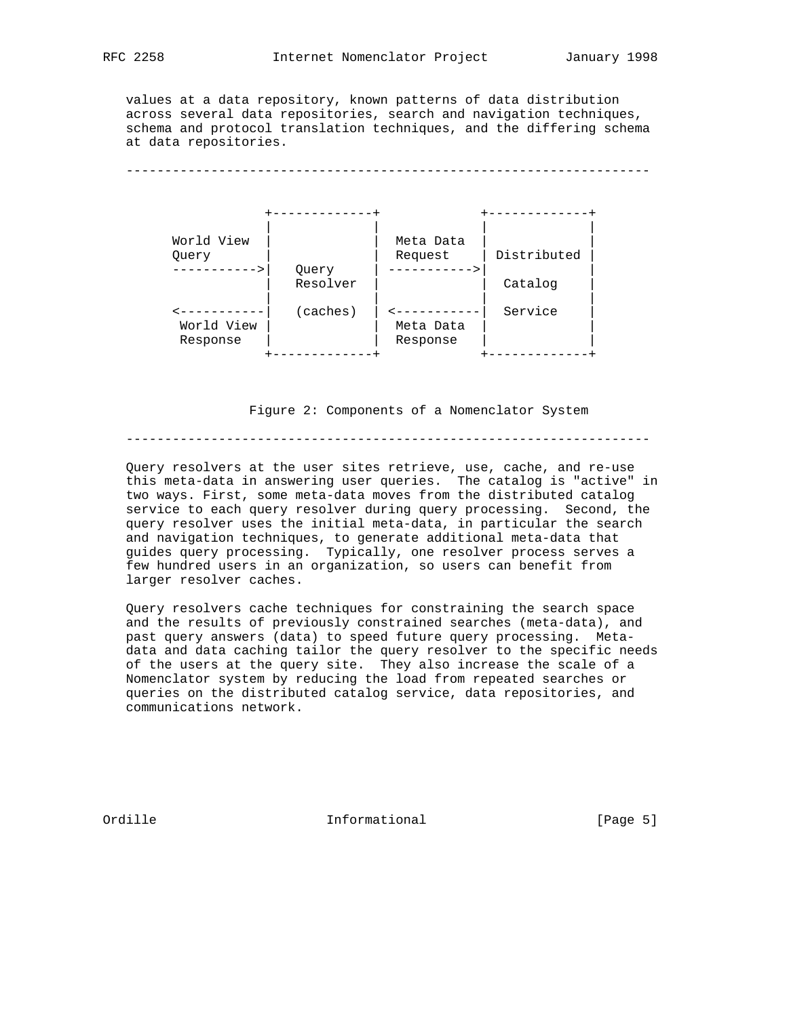values at a data repository, known patterns of data distribution across several data repositories, search and navigation techniques, schema and protocol translation techniques, and the differing schema at data repositories.

--------------------------------------------------------------------



Figure 2: Components of a Nomenclator System

--------------------------------------------------------------------

 Query resolvers at the user sites retrieve, use, cache, and re-use this meta-data in answering user queries. The catalog is "active" in two ways. First, some meta-data moves from the distributed catalog service to each query resolver during query processing. Second, the query resolver uses the initial meta-data, in particular the search and navigation techniques, to generate additional meta-data that guides query processing. Typically, one resolver process serves a few hundred users in an organization, so users can benefit from larger resolver caches.

 Query resolvers cache techniques for constraining the search space and the results of previously constrained searches (meta-data), and past query answers (data) to speed future query processing. Meta data and data caching tailor the query resolver to the specific needs of the users at the query site. They also increase the scale of a Nomenclator system by reducing the load from repeated searches or queries on the distributed catalog service, data repositories, and communications network.

Ordille Informational [Page 5]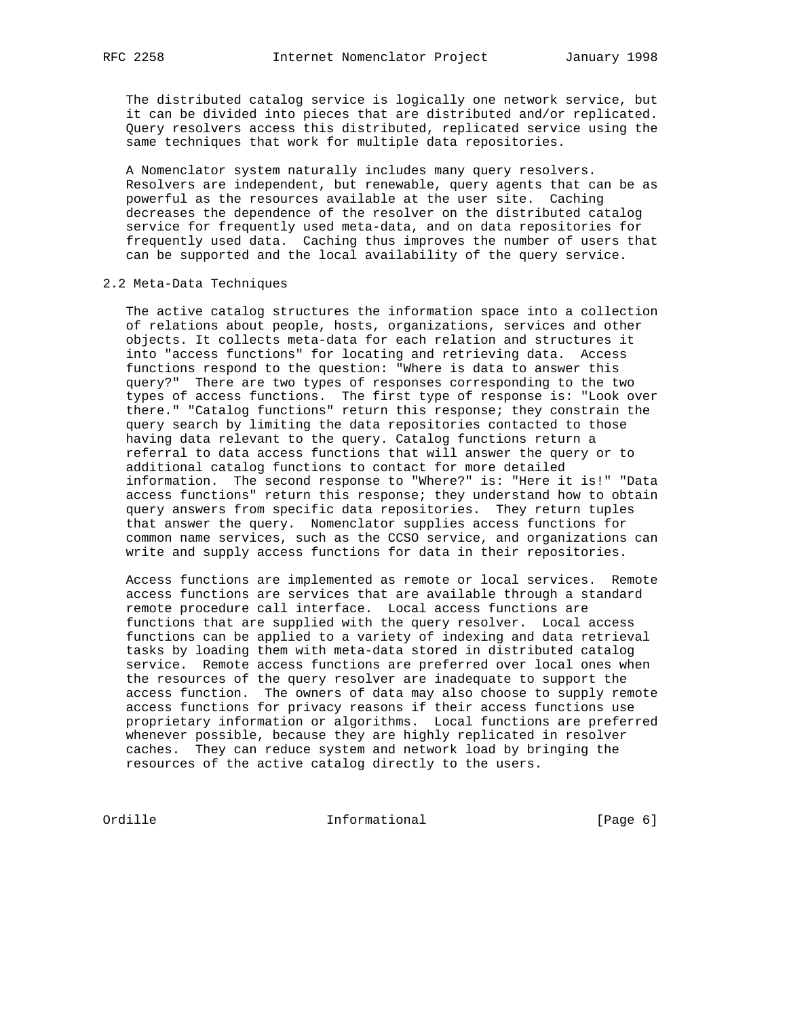The distributed catalog service is logically one network service, but it can be divided into pieces that are distributed and/or replicated. Query resolvers access this distributed, replicated service using the same techniques that work for multiple data repositories.

 A Nomenclator system naturally includes many query resolvers. Resolvers are independent, but renewable, query agents that can be as powerful as the resources available at the user site. Caching decreases the dependence of the resolver on the distributed catalog service for frequently used meta-data, and on data repositories for frequently used data. Caching thus improves the number of users that can be supported and the local availability of the query service.

#### 2.2 Meta-Data Techniques

 The active catalog structures the information space into a collection of relations about people, hosts, organizations, services and other objects. It collects meta-data for each relation and structures it into "access functions" for locating and retrieving data. Access functions respond to the question: "Where is data to answer this query?" There are two types of responses corresponding to the two types of access functions. The first type of response is: "Look over there." "Catalog functions" return this response; they constrain the query search by limiting the data repositories contacted to those having data relevant to the query. Catalog functions return a referral to data access functions that will answer the query or to additional catalog functions to contact for more detailed information. The second response to "Where?" is: "Here it is!" "Data access functions" return this response; they understand how to obtain query answers from specific data repositories. They return tuples that answer the query. Nomenclator supplies access functions for common name services, such as the CCSO service, and organizations can write and supply access functions for data in their repositories.

 Access functions are implemented as remote or local services. Remote access functions are services that are available through a standard remote procedure call interface. Local access functions are functions that are supplied with the query resolver. Local access functions can be applied to a variety of indexing and data retrieval tasks by loading them with meta-data stored in distributed catalog service. Remote access functions are preferred over local ones when the resources of the query resolver are inadequate to support the access function. The owners of data may also choose to supply remote access functions for privacy reasons if their access functions use proprietary information or algorithms. Local functions are preferred whenever possible, because they are highly replicated in resolver caches. They can reduce system and network load by bringing the resources of the active catalog directly to the users.

Ordille Informational [Page 6]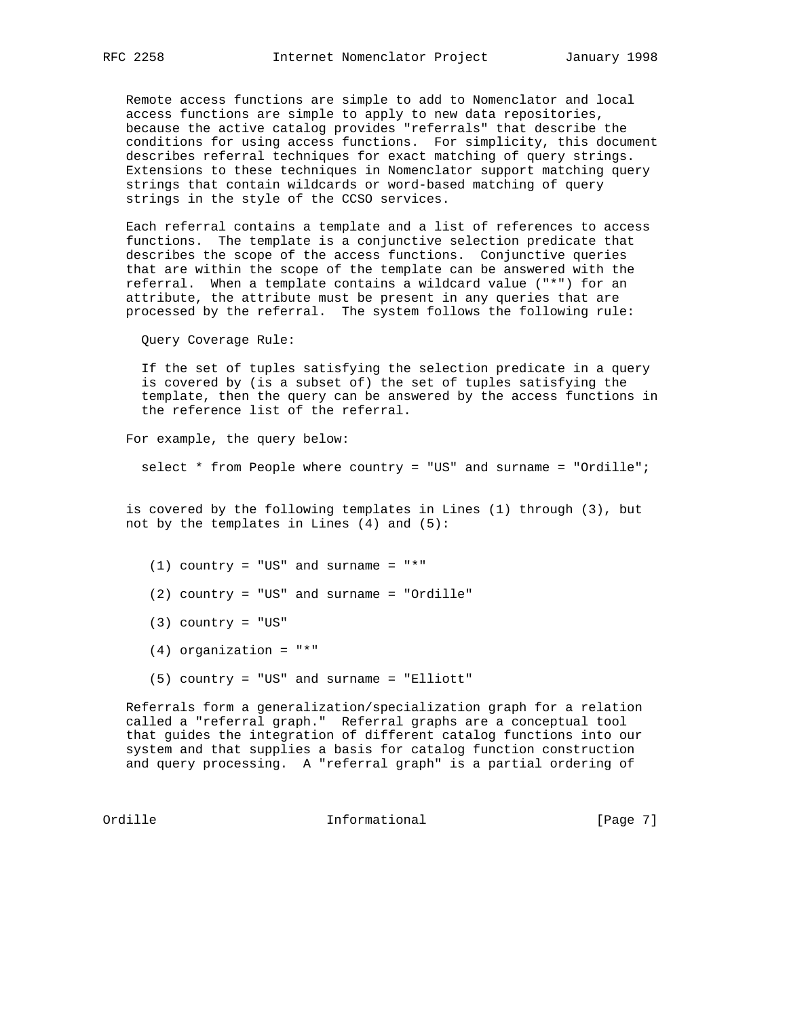Remote access functions are simple to add to Nomenclator and local access functions are simple to apply to new data repositories, because the active catalog provides "referrals" that describe the conditions for using access functions. For simplicity, this document describes referral techniques for exact matching of query strings. Extensions to these techniques in Nomenclator support matching query strings that contain wildcards or word-based matching of query strings in the style of the CCSO services.

 Each referral contains a template and a list of references to access functions. The template is a conjunctive selection predicate that describes the scope of the access functions. Conjunctive queries that are within the scope of the template can be answered with the referral. When a template contains a wildcard value ("\*") for an attribute, the attribute must be present in any queries that are processed by the referral. The system follows the following rule:

Query Coverage Rule:

 If the set of tuples satisfying the selection predicate in a query is covered by (is a subset of) the set of tuples satisfying the template, then the query can be answered by the access functions in the reference list of the referral.

For example, the query below:

select \* from People where country = "US" and surname = "Ordille";

 is covered by the following templates in Lines (1) through (3), but not by the templates in Lines (4) and (5):

(1) country = "US" and surname = "\*"

- (2) country = "US" and surname = "Ordille"
- $(3)$  country = "US"
- (4) organization = "\*"
- (5) country = "US" and surname = "Elliott"

 Referrals form a generalization/specialization graph for a relation called a "referral graph." Referral graphs are a conceptual tool that guides the integration of different catalog functions into our system and that supplies a basis for catalog function construction and query processing. A "referral graph" is a partial ordering of

Ordille Informational [Page 7]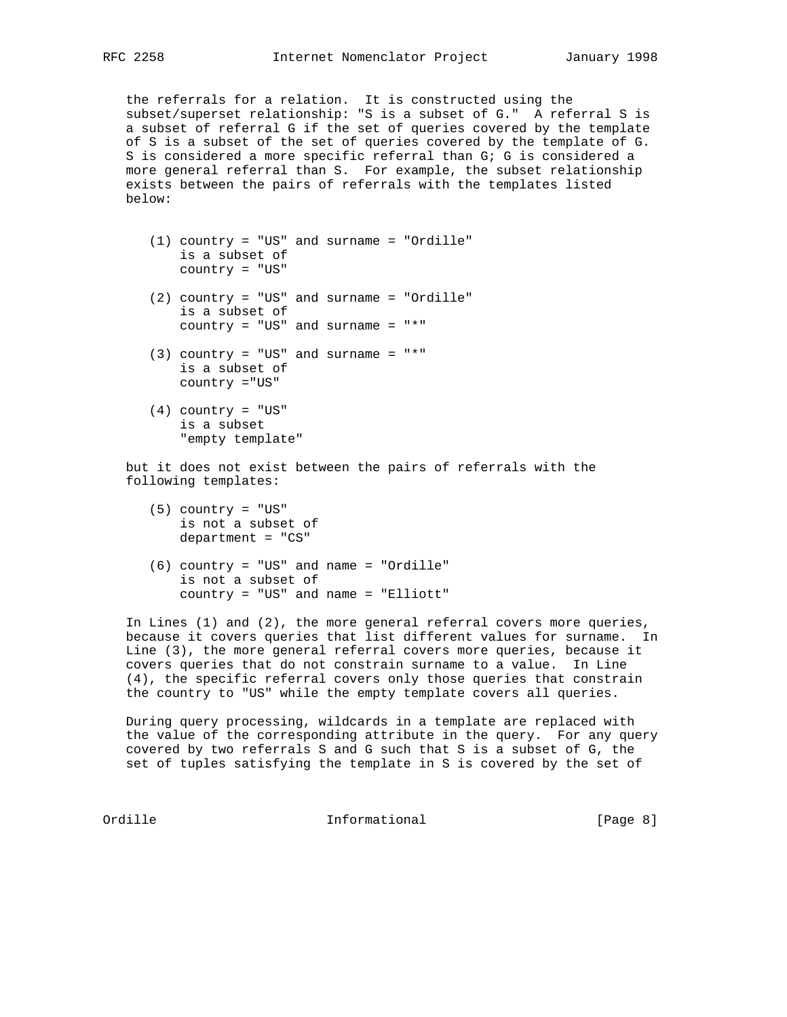the referrals for a relation. It is constructed using the subset/superset relationship: "S is a subset of G." A referral S is a subset of referral G if the set of queries covered by the template of S is a subset of the set of queries covered by the template of G. S is considered a more specific referral than G; G is considered a more general referral than S. For example, the subset relationship exists between the pairs of referrals with the templates listed below:

- (1) country = "US" and surname = "Ordille" is a subset of country = "US"
- (2) country = "US" and surname = "Ordille" is a subset of country =  $"US"$  and surname =  $"$
- $(3)$  country = "US" and surname = "\*" is a subset of country ="US"
- $(4)$  country = "US" is a subset "empty template"

 but it does not exist between the pairs of referrals with the following templates:

- (5) country = "US" is not a subset of department = "CS"
- (6) country = "US" and name = "Ordille" is not a subset of country = "US" and name = "Elliott"

 In Lines (1) and (2), the more general referral covers more queries, because it covers queries that list different values for surname. In Line (3), the more general referral covers more queries, because it covers queries that do not constrain surname to a value. In Line (4), the specific referral covers only those queries that constrain the country to "US" while the empty template covers all queries.

 During query processing, wildcards in a template are replaced with the value of the corresponding attribute in the query. For any query covered by two referrals S and G such that S is a subset of G, the set of tuples satisfying the template in S is covered by the set of

Ordille **Informational** Informational [Page 8]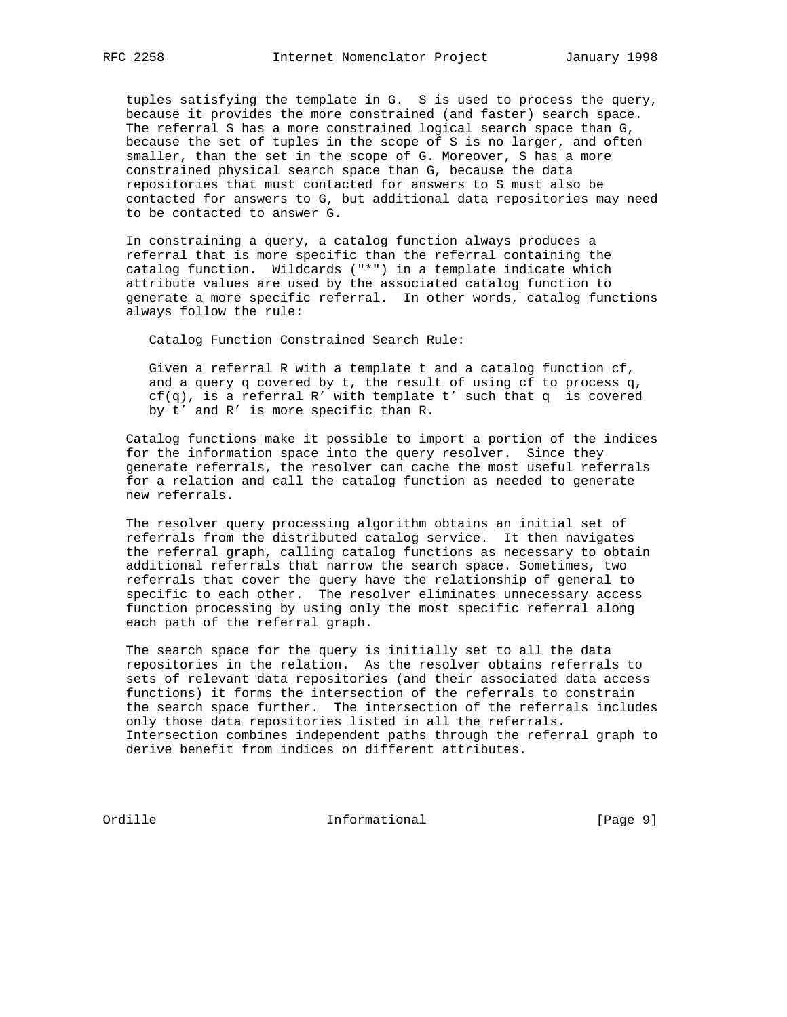tuples satisfying the template in G. S is used to process the query, because it provides the more constrained (and faster) search space. The referral S has a more constrained logical search space than G, because the set of tuples in the scope of S is no larger, and often smaller, than the set in the scope of G. Moreover, S has a more constrained physical search space than G, because the data repositories that must contacted for answers to S must also be contacted for answers to G, but additional data repositories may need to be contacted to answer G.

 In constraining a query, a catalog function always produces a referral that is more specific than the referral containing the catalog function. Wildcards ("\*") in a template indicate which attribute values are used by the associated catalog function to generate a more specific referral. In other words, catalog functions always follow the rule:

Catalog Function Constrained Search Rule:

 Given a referral R with a template t and a catalog function cf, and a query q covered by t, the result of using cf to process q, cf(q), is a referral R' with template t' such that q is covered by t' and R' is more specific than R.

 Catalog functions make it possible to import a portion of the indices for the information space into the query resolver. Since they generate referrals, the resolver can cache the most useful referrals for a relation and call the catalog function as needed to generate new referrals.

 The resolver query processing algorithm obtains an initial set of referrals from the distributed catalog service. It then navigates the referral graph, calling catalog functions as necessary to obtain additional referrals that narrow the search space. Sometimes, two referrals that cover the query have the relationship of general to specific to each other. The resolver eliminates unnecessary access function processing by using only the most specific referral along each path of the referral graph.

 The search space for the query is initially set to all the data repositories in the relation. As the resolver obtains referrals to sets of relevant data repositories (and their associated data access functions) it forms the intersection of the referrals to constrain the search space further. The intersection of the referrals includes only those data repositories listed in all the referrals. Intersection combines independent paths through the referral graph to derive benefit from indices on different attributes.

Ordille Informational [Page 9]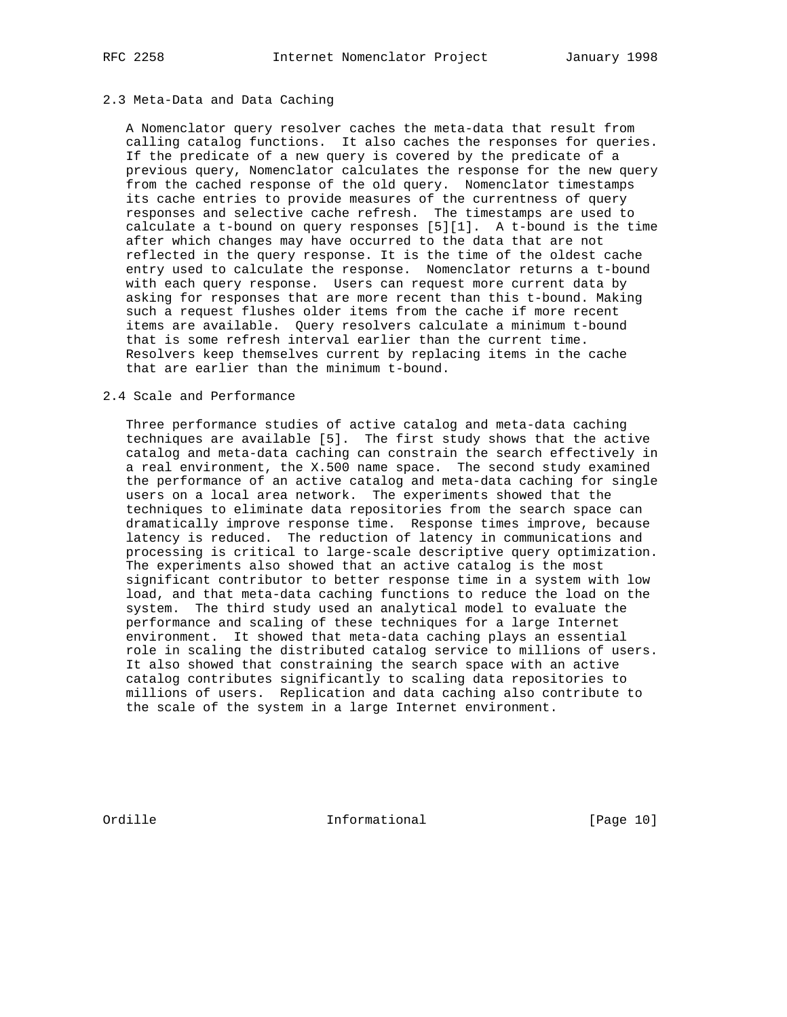### 2.3 Meta-Data and Data Caching

 A Nomenclator query resolver caches the meta-data that result from calling catalog functions. It also caches the responses for queries. If the predicate of a new query is covered by the predicate of a previous query, Nomenclator calculates the response for the new query from the cached response of the old query. Nomenclator timestamps its cache entries to provide measures of the currentness of query responses and selective cache refresh. The timestamps are used to calculate a t-bound on query responses [5][1]. A t-bound is the time after which changes may have occurred to the data that are not reflected in the query response. It is the time of the oldest cache entry used to calculate the response. Nomenclator returns a t-bound with each query response. Users can request more current data by asking for responses that are more recent than this t-bound. Making such a request flushes older items from the cache if more recent items are available. Query resolvers calculate a minimum t-bound that is some refresh interval earlier than the current time. Resolvers keep themselves current by replacing items in the cache that are earlier than the minimum t-bound.

## 2.4 Scale and Performance

 Three performance studies of active catalog and meta-data caching techniques are available [5]. The first study shows that the active catalog and meta-data caching can constrain the search effectively in a real environment, the X.500 name space. The second study examined the performance of an active catalog and meta-data caching for single users on a local area network. The experiments showed that the techniques to eliminate data repositories from the search space can dramatically improve response time. Response times improve, because latency is reduced. The reduction of latency in communications and processing is critical to large-scale descriptive query optimization. The experiments also showed that an active catalog is the most significant contributor to better response time in a system with low load, and that meta-data caching functions to reduce the load on the system. The third study used an analytical model to evaluate the performance and scaling of these techniques for a large Internet environment. It showed that meta-data caching plays an essential role in scaling the distributed catalog service to millions of users. It also showed that constraining the search space with an active catalog contributes significantly to scaling data repositories to millions of users. Replication and data caching also contribute to the scale of the system in a large Internet environment.

Ordille **Informational** Informational [Page 10]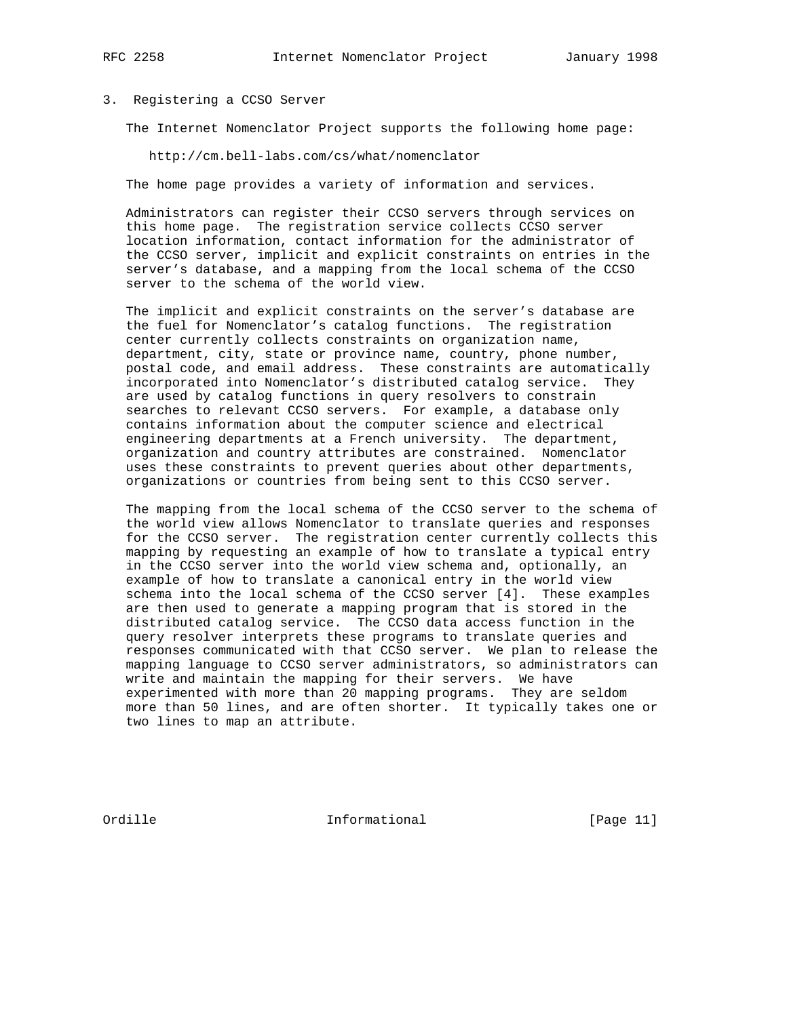### 3. Registering a CCSO Server

The Internet Nomenclator Project supports the following home page:

http://cm.bell-labs.com/cs/what/nomenclator

The home page provides a variety of information and services.

 Administrators can register their CCSO servers through services on this home page. The registration service collects CCSO server location information, contact information for the administrator of the CCSO server, implicit and explicit constraints on entries in the server's database, and a mapping from the local schema of the CCSO server to the schema of the world view.

 The implicit and explicit constraints on the server's database are the fuel for Nomenclator's catalog functions. The registration center currently collects constraints on organization name, department, city, state or province name, country, phone number, postal code, and email address. These constraints are automatically incorporated into Nomenclator's distributed catalog service. They are used by catalog functions in query resolvers to constrain searches to relevant CCSO servers. For example, a database only contains information about the computer science and electrical engineering departments at a French university. The department, organization and country attributes are constrained. Nomenclator uses these constraints to prevent queries about other departments, organizations or countries from being sent to this CCSO server.

 The mapping from the local schema of the CCSO server to the schema of the world view allows Nomenclator to translate queries and responses for the CCSO server. The registration center currently collects this mapping by requesting an example of how to translate a typical entry in the CCSO server into the world view schema and, optionally, an example of how to translate a canonical entry in the world view schema into the local schema of the CCSO server [4]. These examples are then used to generate a mapping program that is stored in the distributed catalog service. The CCSO data access function in the query resolver interprets these programs to translate queries and responses communicated with that CCSO server. We plan to release the mapping language to CCSO server administrators, so administrators can write and maintain the mapping for their servers. We have experimented with more than 20 mapping programs. They are seldom more than 50 lines, and are often shorter. It typically takes one or two lines to map an attribute.

Ordille **Informational** Informational [Page 11]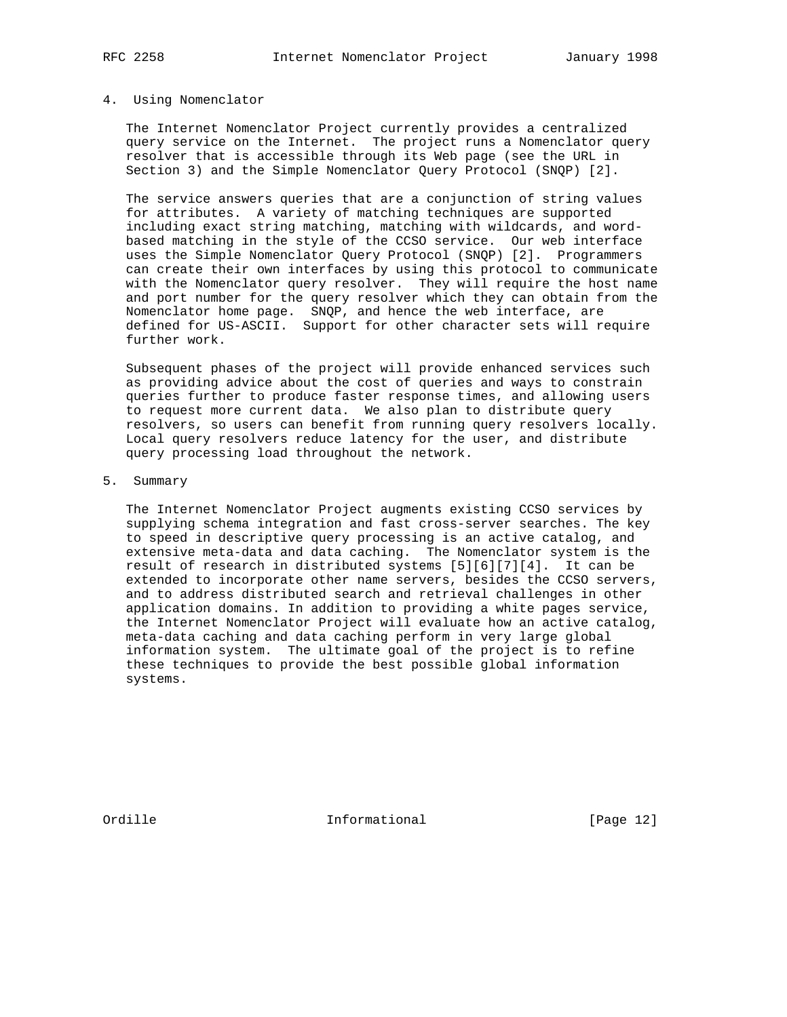#### 4. Using Nomenclator

 The Internet Nomenclator Project currently provides a centralized query service on the Internet. The project runs a Nomenclator query resolver that is accessible through its Web page (see the URL in Section 3) and the Simple Nomenclator Query Protocol (SNQP) [2].

 The service answers queries that are a conjunction of string values for attributes. A variety of matching techniques are supported including exact string matching, matching with wildcards, and word based matching in the style of the CCSO service. Our web interface uses the Simple Nomenclator Query Protocol (SNQP) [2]. Programmers can create their own interfaces by using this protocol to communicate with the Nomenclator query resolver. They will require the host name and port number for the query resolver which they can obtain from the Nomenclator home page. SNQP, and hence the web interface, are defined for US-ASCII. Support for other character sets will require further work.

 Subsequent phases of the project will provide enhanced services such as providing advice about the cost of queries and ways to constrain queries further to produce faster response times, and allowing users to request more current data. We also plan to distribute query resolvers, so users can benefit from running query resolvers locally. Local query resolvers reduce latency for the user, and distribute query processing load throughout the network.

5. Summary

 The Internet Nomenclator Project augments existing CCSO services by supplying schema integration and fast cross-server searches. The key to speed in descriptive query processing is an active catalog, and extensive meta-data and data caching. The Nomenclator system is the result of research in distributed systems [5][6][7][4]. It can be extended to incorporate other name servers, besides the CCSO servers, and to address distributed search and retrieval challenges in other application domains. In addition to providing a white pages service, the Internet Nomenclator Project will evaluate how an active catalog, meta-data caching and data caching perform in very large global information system. The ultimate goal of the project is to refine these techniques to provide the best possible global information systems.

Ordille Informational [Page 12]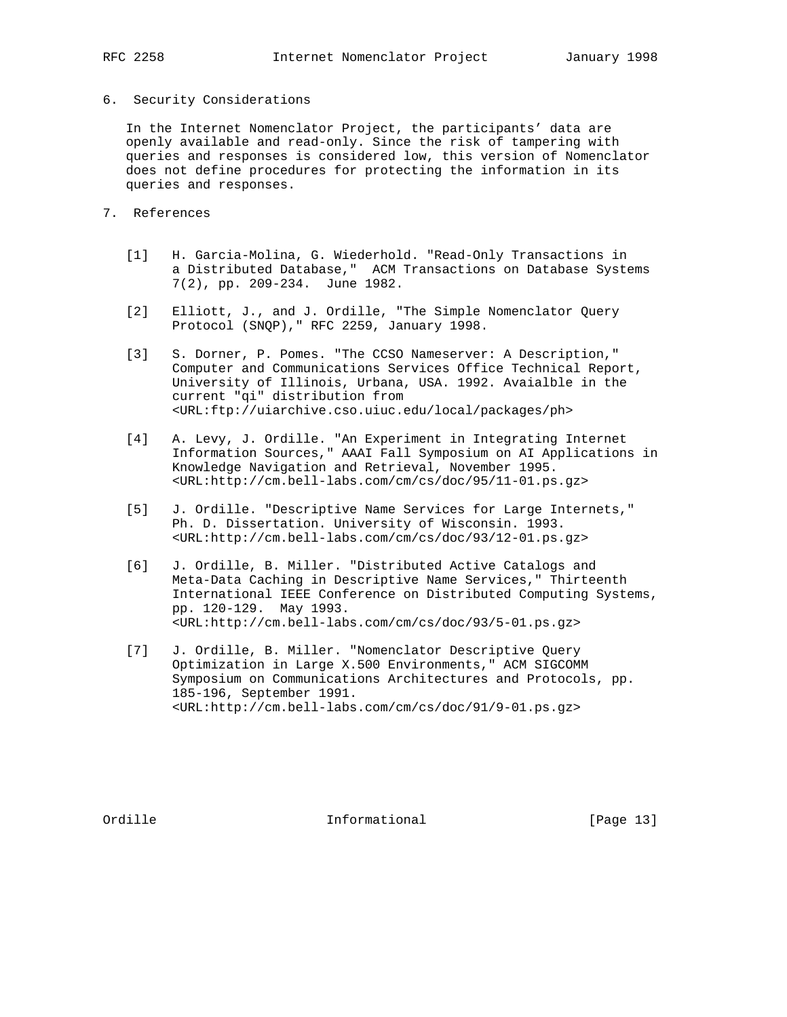- 
- 6. Security Considerations

 In the Internet Nomenclator Project, the participants' data are openly available and read-only. Since the risk of tampering with queries and responses is considered low, this version of Nomenclator does not define procedures for protecting the information in its queries and responses.

- 7. References
	- [1] H. Garcia-Molina, G. Wiederhold. "Read-Only Transactions in a Distributed Database," ACM Transactions on Database Systems 7(2), pp. 209-234. June 1982.
	- [2] Elliott, J., and J. Ordille, "The Simple Nomenclator Query Protocol (SNQP)," RFC 2259, January 1998.
	- [3] S. Dorner, P. Pomes. "The CCSO Nameserver: A Description," Computer and Communications Services Office Technical Report, University of Illinois, Urbana, USA. 1992. Avaialble in the current "qi" distribution from <URL:ftp://uiarchive.cso.uiuc.edu/local/packages/ph>
	- [4] A. Levy, J. Ordille. "An Experiment in Integrating Internet Information Sources," AAAI Fall Symposium on AI Applications in Knowledge Navigation and Retrieval, November 1995. <URL:http://cm.bell-labs.com/cm/cs/doc/95/11-01.ps.gz>
	- [5] J. Ordille. "Descriptive Name Services for Large Internets," Ph. D. Dissertation. University of Wisconsin. 1993. <URL:http://cm.bell-labs.com/cm/cs/doc/93/12-01.ps.gz>
	- [6] J. Ordille, B. Miller. "Distributed Active Catalogs and Meta-Data Caching in Descriptive Name Services," Thirteenth International IEEE Conference on Distributed Computing Systems, pp. 120-129. May 1993. <URL:http://cm.bell-labs.com/cm/cs/doc/93/5-01.ps.gz>
	- [7] J. Ordille, B. Miller. "Nomenclator Descriptive Query Optimization in Large X.500 Environments," ACM SIGCOMM Symposium on Communications Architectures and Protocols, pp. 185-196, September 1991. <URL:http://cm.bell-labs.com/cm/cs/doc/91/9-01.ps.gz>

Ordille **Informational** Informational [Page 13]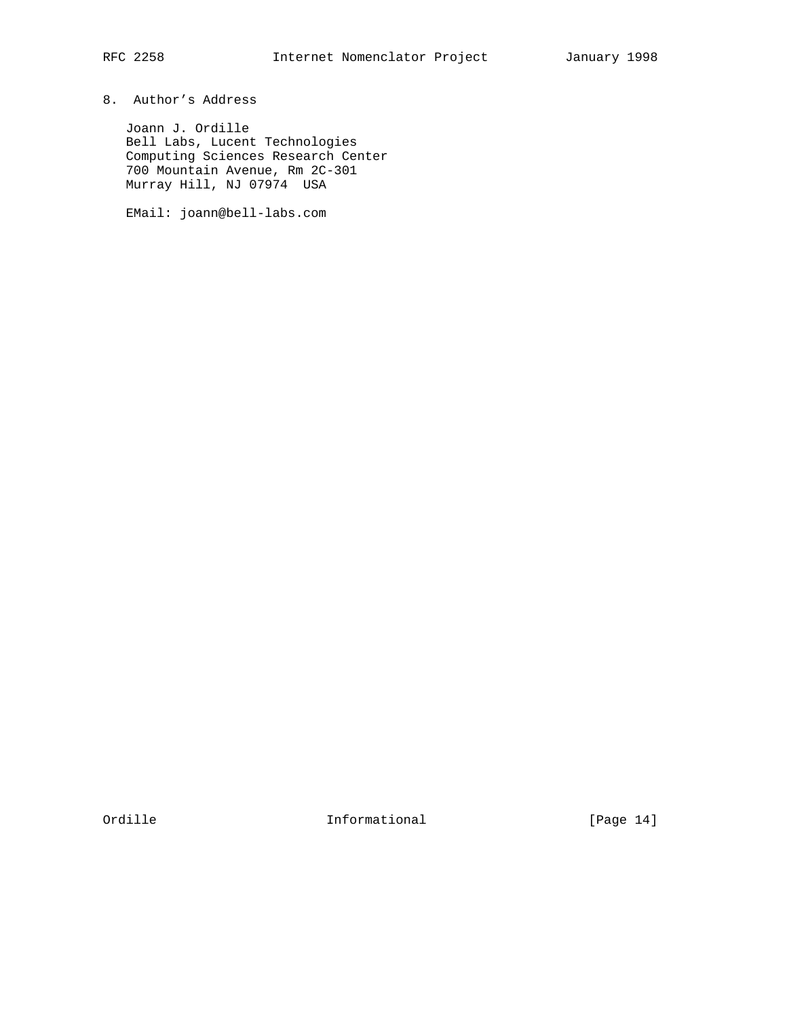Joann J. Ordille Bell Labs, Lucent Technologies Computing Sciences Research Center 700 Mountain Avenue, Rm 2C-301 Murray Hill, NJ 07974 USA

EMail: joann@bell-labs.com

Ordille Informational [Page 14]